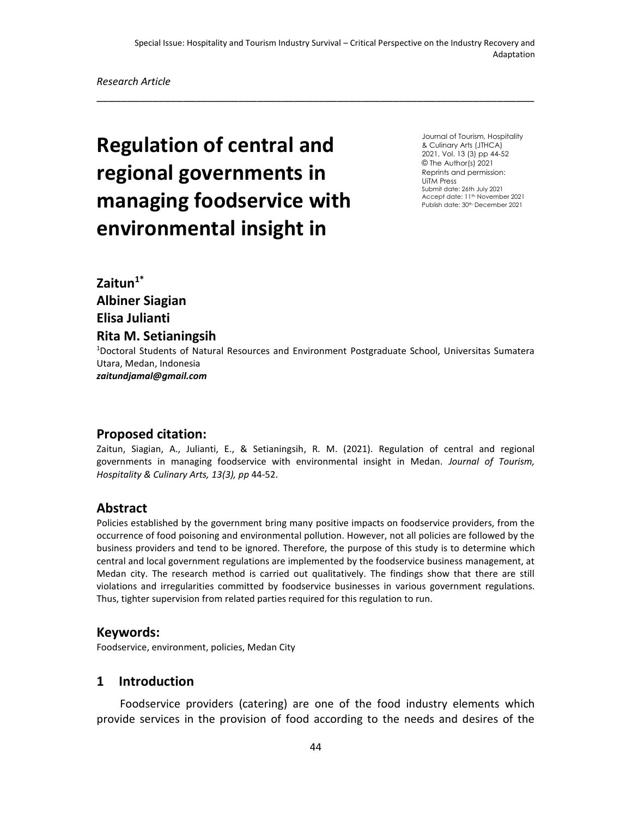\_\_\_\_\_\_\_\_\_\_\_\_\_\_\_\_\_\_\_\_\_\_\_\_\_\_\_\_\_\_\_\_\_\_\_\_\_\_\_\_\_\_\_\_\_\_\_\_\_\_\_\_\_\_\_\_\_\_\_\_\_\_\_\_\_\_\_\_\_\_\_

# **Regulation of central and regional governments in managing foodservice with environmental insight in**

Journal of Tourism, Hospitality & Culinary Arts (JTHCA) 2021, Vol. 13 (3) pp 44-52 © The Author(s) 2021 Reprints and permission: UiTM Press Submit date: 26th July 2021 Accept date: 11<sup>th</sup> November 2021 Publish date: 30<sup>th</sup> December 2021

**Zaitun1\* Albiner Siagian Elisa Julianti Rita M. Setianingsih**

<sup>1</sup>Doctoral Students of Natural Resources and Environment Postgraduate School, Universitas Sumatera Utara, Medan, Indonesia *zaitundjamal@gmail.com*

# **Proposed citation:**

Zaitun, Siagian, A., Julianti, E., & Setianingsih, R. M. (2021). Regulation of central and regional governments in managing foodservice with environmental insight in Medan. *Journal of Tourism, Hospitality & Culinary Arts, 13(3), pp* 44-52.

## **Abstract**

Policies established by the government bring many positive impacts on foodservice providers, from the occurrence of food poisoning and environmental pollution. However, not all policies are followed by the business providers and tend to be ignored. Therefore, the purpose of this study is to determine which central and local government regulations are implemented by the foodservice business management, at Medan city. The research method is carried out qualitatively. The findings show that there are still violations and irregularities committed by foodservice businesses in various government regulations. Thus, tighter supervision from related parties required for this regulation to run.

#### **Keywords:**

Foodservice, environment, policies, Medan City

#### **1 Introduction**

Foodservice providers (catering) are one of the food industry elements which provide services in the provision of food according to the needs and desires of the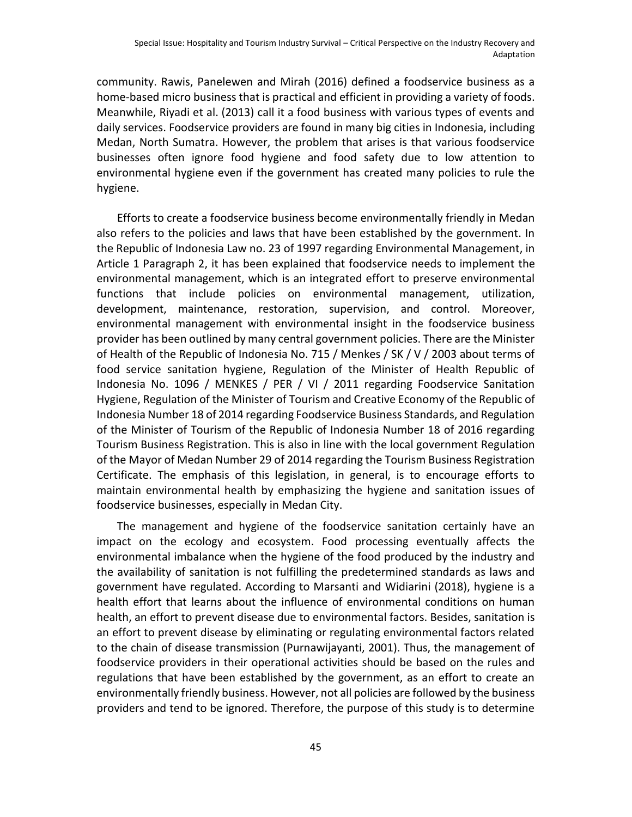community. Rawis, Panelewen and Mirah (2016) defined a foodservice business as a home-based micro business that is practical and efficient in providing a variety of foods. Meanwhile, Riyadi et al. (2013) call it a food business with various types of events and daily services. Foodservice providers are found in many big cities in Indonesia, including Medan, North Sumatra. However, the problem that arises is that various foodservice businesses often ignore food hygiene and food safety due to low attention to environmental hygiene even if the government has created many policies to rule the hygiene.

Efforts to create a foodservice business become environmentally friendly in Medan also refers to the policies and laws that have been established by the government. In the Republic of Indonesia Law no. 23 of 1997 regarding Environmental Management, in Article 1 Paragraph 2, it has been explained that foodservice needs to implement the environmental management, which is an integrated effort to preserve environmental functions that include policies on environmental management, utilization, development, maintenance, restoration, supervision, and control. Moreover, environmental management with environmental insight in the foodservice business provider has been outlined by many central government policies. There are the Minister of Health of the Republic of Indonesia No. 715 / Menkes / SK / V / 2003 about terms of food service sanitation hygiene, Regulation of the Minister of Health Republic of Indonesia No. 1096 / MENKES / PER / VI / 2011 regarding Foodservice Sanitation Hygiene, Regulation of the Minister of Tourism and Creative Economy of the Republic of Indonesia Number 18 of 2014 regarding Foodservice Business Standards, and Regulation of the Minister of Tourism of the Republic of Indonesia Number 18 of 2016 regarding Tourism Business Registration. This is also in line with the local government Regulation of the Mayor of Medan Number 29 of 2014 regarding the Tourism Business Registration Certificate. The emphasis of this legislation, in general, is to encourage efforts to maintain environmental health by emphasizing the hygiene and sanitation issues of foodservice businesses, especially in Medan City.

The management and hygiene of the foodservice sanitation certainly have an impact on the ecology and ecosystem. Food processing eventually affects the environmental imbalance when the hygiene of the food produced by the industry and the availability of sanitation is not fulfilling the predetermined standards as laws and government have regulated. According to Marsanti and Widiarini (2018), hygiene is a health effort that learns about the influence of environmental conditions on human health, an effort to prevent disease due to environmental factors. Besides, sanitation is an effort to prevent disease by eliminating or regulating environmental factors related to the chain of disease transmission (Purnawijayanti, 2001). Thus, the management of foodservice providers in their operational activities should be based on the rules and regulations that have been established by the government, as an effort to create an environmentally friendly business. However, not all policies are followed by the business providers and tend to be ignored. Therefore, the purpose of this study is to determine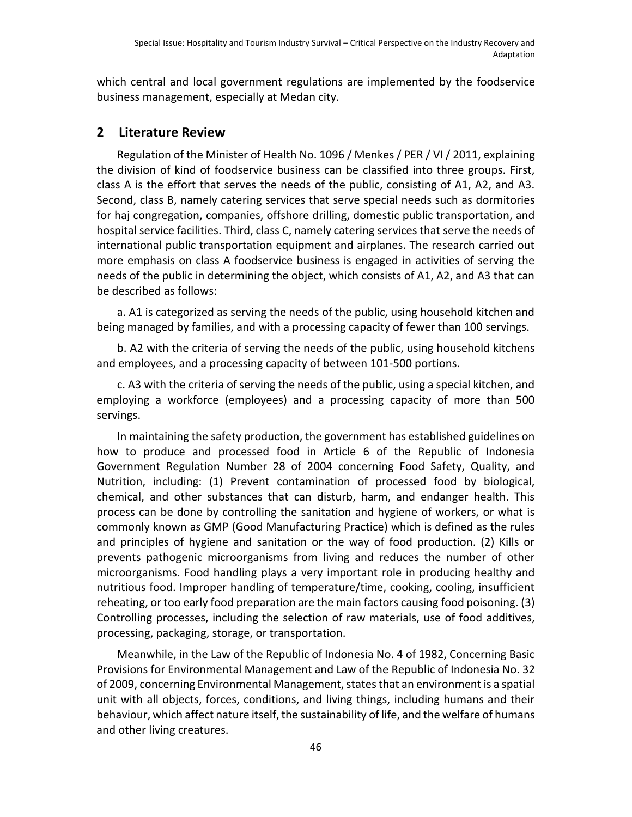which central and local government regulations are implemented by the foodservice business management, especially at Medan city.

## **2 Literature Review**

Regulation of the Minister of Health No. 1096 / Menkes / PER / VI / 2011, explaining the division of kind of foodservice business can be classified into three groups. First, class A is the effort that serves the needs of the public, consisting of A1, A2, and A3. Second, class B, namely catering services that serve special needs such as dormitories for haj congregation, companies, offshore drilling, domestic public transportation, and hospital service facilities. Third, class C, namely catering services that serve the needs of international public transportation equipment and airplanes. The research carried out more emphasis on class A foodservice business is engaged in activities of serving the needs of the public in determining the object, which consists of A1, A2, and A3 that can be described as follows:

a. A1 is categorized as serving the needs of the public, using household kitchen and being managed by families, and with a processing capacity of fewer than 100 servings.

b. A2 with the criteria of serving the needs of the public, using household kitchens and employees, and a processing capacity of between 101-500 portions.

c. A3 with the criteria of serving the needs of the public, using a special kitchen, and employing a workforce (employees) and a processing capacity of more than 500 servings.

In maintaining the safety production, the government has established guidelines on how to produce and processed food in Article 6 of the Republic of Indonesia Government Regulation Number 28 of 2004 concerning Food Safety, Quality, and Nutrition, including: (1) Prevent contamination of processed food by biological, chemical, and other substances that can disturb, harm, and endanger health. This process can be done by controlling the sanitation and hygiene of workers, or what is commonly known as GMP (Good Manufacturing Practice) which is defined as the rules and principles of hygiene and sanitation or the way of food production. (2) Kills or prevents pathogenic microorganisms from living and reduces the number of other microorganisms. Food handling plays a very important role in producing healthy and nutritious food. Improper handling of temperature/time, cooking, cooling, insufficient reheating, or too early food preparation are the main factors causing food poisoning. (3) Controlling processes, including the selection of raw materials, use of food additives, processing, packaging, storage, or transportation.

Meanwhile, in the Law of the Republic of Indonesia No. 4 of 1982, Concerning Basic Provisions for Environmental Management and Law of the Republic of Indonesia No. 32 of 2009, concerning Environmental Management, states that an environment is a spatial unit with all objects, forces, conditions, and living things, including humans and their behaviour, which affect nature itself, the sustainability of life, and the welfare of humans and other living creatures.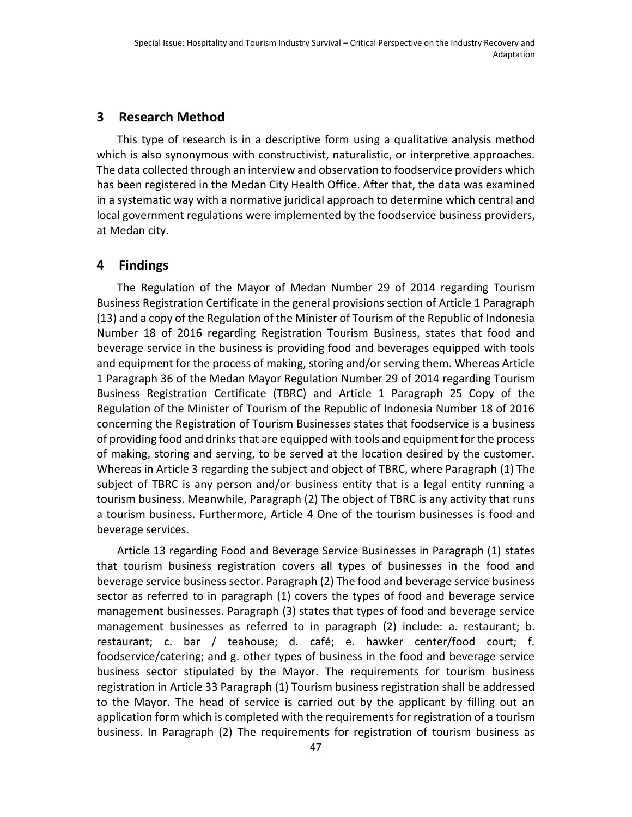#### **3 Research Method**

This type of research is in a descriptive form using a qualitative analysis method which is also synonymous with constructivist, naturalistic, or interpretive approaches. The data collected through an interview and observation to foodservice providers which has been registered in the Medan City Health Office. After that, the data was examined in a systematic way with a normative juridical approach to determine which central and local government regulations were implemented by the foodservice business providers, at Medan city.

## **4 Findings**

The Regulation of the Mayor of Medan Number 29 of 2014 regarding Tourism Business Registration Certificate in the general provisions section of Article 1 Paragraph (13) and a copy of the Regulation of the Minister of Tourism of the Republic of Indonesia Number 18 of 2016 regarding Registration Tourism Business, states that food and beverage service in the business is providing food and beverages equipped with tools and equipment for the process of making, storing and/or serving them. Whereas Article 1 Paragraph 36 of the Medan Mayor Regulation Number 29 of 2014 regarding Tourism Business Registration Certificate (TBRC) and Article 1 Paragraph 25 Copy of the Regulation of the Minister of Tourism of the Republic of Indonesia Number 18 of 2016 concerning the Registration of Tourism Businesses states that foodservice is a business of providing food and drinks that are equipped with tools and equipment for the process of making, storing and serving, to be served at the location desired by the customer. Whereas in Article 3 regarding the subject and object of TBRC, where Paragraph (1) The subject of TBRC is any person and/or business entity that is a legal entity running a tourism business. Meanwhile, Paragraph (2) The object of TBRC is any activity that runs a tourism business. Furthermore, Article 4 One of the tourism businesses is food and beverage services.

Article 13 regarding Food and Beverage Service Businesses in Paragraph (1) states that tourism business registration covers all types of businesses in the food and beverage service business sector. Paragraph (2) The food and beverage service business sector as referred to in paragraph (1) covers the types of food and beverage service management businesses. Paragraph (3) states that types of food and beverage service management businesses as referred to in paragraph (2) include: a. restaurant; b. restaurant; c. bar / teahouse; d. café; e. hawker center/food court; f. foodservice/catering; and g. other types of business in the food and beverage service business sector stipulated by the Mayor. The requirements for tourism business registration in Article 33 Paragraph (1) Tourism business registration shall be addressed to the Mayor. The head of service is carried out by the applicant by filling out an application form which is completed with the requirements for registration of a tourism business. In Paragraph (2) The requirements for registration of tourism business as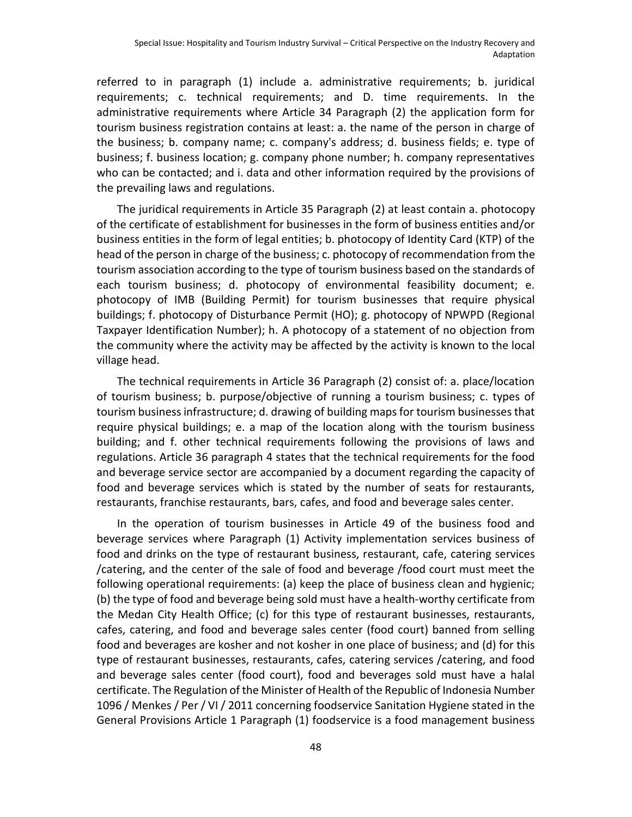referred to in paragraph (1) include a. administrative requirements; b. juridical requirements; c. technical requirements; and D. time requirements. In the administrative requirements where Article 34 Paragraph (2) the application form for tourism business registration contains at least: a. the name of the person in charge of the business; b. company name; c. company's address; d. business fields; e. type of business; f. business location; g. company phone number; h. company representatives who can be contacted; and i. data and other information required by the provisions of the prevailing laws and regulations.

The juridical requirements in Article 35 Paragraph (2) at least contain a. photocopy of the certificate of establishment for businesses in the form of business entities and/or business entities in the form of legal entities; b. photocopy of Identity Card (KTP) of the head of the person in charge of the business; c. photocopy of recommendation from the tourism association according to the type of tourism business based on the standards of each tourism business; d. photocopy of environmental feasibility document; e. photocopy of IMB (Building Permit) for tourism businesses that require physical buildings; f. photocopy of Disturbance Permit (HO); g. photocopy of NPWPD (Regional Taxpayer Identification Number); h. A photocopy of a statement of no objection from the community where the activity may be affected by the activity is known to the local village head.

The technical requirements in Article 36 Paragraph (2) consist of: a. place/location of tourism business; b. purpose/objective of running a tourism business; c. types of tourism business infrastructure; d. drawing of building maps for tourism businesses that require physical buildings; e. a map of the location along with the tourism business building; and f. other technical requirements following the provisions of laws and regulations. Article 36 paragraph 4 states that the technical requirements for the food and beverage service sector are accompanied by a document regarding the capacity of food and beverage services which is stated by the number of seats for restaurants, restaurants, franchise restaurants, bars, cafes, and food and beverage sales center.

In the operation of tourism businesses in Article 49 of the business food and beverage services where Paragraph (1) Activity implementation services business of food and drinks on the type of restaurant business, restaurant, cafe, catering services /catering, and the center of the sale of food and beverage /food court must meet the following operational requirements: (a) keep the place of business clean and hygienic; (b) the type of food and beverage being sold must have a health-worthy certificate from the Medan City Health Office; (c) for this type of restaurant businesses, restaurants, cafes, catering, and food and beverage sales center (food court) banned from selling food and beverages are kosher and not kosher in one place of business; and (d) for this type of restaurant businesses, restaurants, cafes, catering services /catering, and food and beverage sales center (food court), food and beverages sold must have a halal certificate. The Regulation of the Minister of Health of the Republic of Indonesia Number 1096 / Menkes / Per / VI / 2011 concerning foodservice Sanitation Hygiene stated in the General Provisions Article 1 Paragraph (1) foodservice is a food management business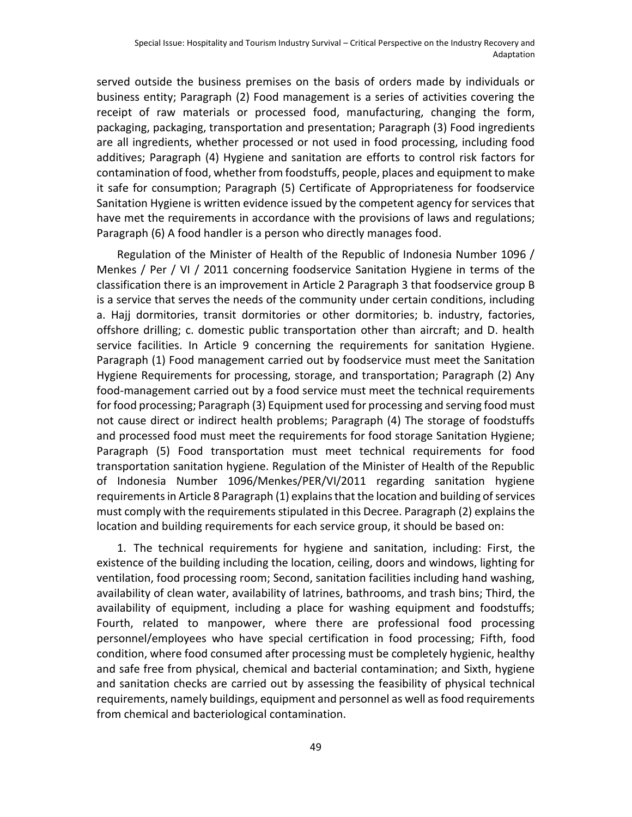served outside the business premises on the basis of orders made by individuals or business entity; Paragraph (2) Food management is a series of activities covering the receipt of raw materials or processed food, manufacturing, changing the form, packaging, packaging, transportation and presentation; Paragraph (3) Food ingredients are all ingredients, whether processed or not used in food processing, including food additives; Paragraph (4) Hygiene and sanitation are efforts to control risk factors for contamination of food, whether from foodstuffs, people, places and equipment to make it safe for consumption; Paragraph (5) Certificate of Appropriateness for foodservice Sanitation Hygiene is written evidence issued by the competent agency for services that have met the requirements in accordance with the provisions of laws and regulations; Paragraph (6) A food handler is a person who directly manages food.

Regulation of the Minister of Health of the Republic of Indonesia Number 1096 / Menkes / Per / VI / 2011 concerning foodservice Sanitation Hygiene in terms of the classification there is an improvement in Article 2 Paragraph 3 that foodservice group B is a service that serves the needs of the community under certain conditions, including a. Hajj dormitories, transit dormitories or other dormitories; b. industry, factories, offshore drilling; c. domestic public transportation other than aircraft; and D. health service facilities. In Article 9 concerning the requirements for sanitation Hygiene. Paragraph (1) Food management carried out by foodservice must meet the Sanitation Hygiene Requirements for processing, storage, and transportation; Paragraph (2) Any food-management carried out by a food service must meet the technical requirements for food processing; Paragraph (3) Equipment used for processing and serving food must not cause direct or indirect health problems; Paragraph (4) The storage of foodstuffs and processed food must meet the requirements for food storage Sanitation Hygiene; Paragraph (5) Food transportation must meet technical requirements for food transportation sanitation hygiene. Regulation of the Minister of Health of the Republic of Indonesia Number 1096/Menkes/PER/VI/2011 regarding sanitation hygiene requirements in Article 8 Paragraph (1) explains that the location and building of services must comply with the requirements stipulated in this Decree. Paragraph (2) explains the location and building requirements for each service group, it should be based on:

1. The technical requirements for hygiene and sanitation, including: First, the existence of the building including the location, ceiling, doors and windows, lighting for ventilation, food processing room; Second, sanitation facilities including hand washing, availability of clean water, availability of latrines, bathrooms, and trash bins; Third, the availability of equipment, including a place for washing equipment and foodstuffs; Fourth, related to manpower, where there are professional food processing personnel/employees who have special certification in food processing; Fifth, food condition, where food consumed after processing must be completely hygienic, healthy and safe free from physical, chemical and bacterial contamination; and Sixth, hygiene and sanitation checks are carried out by assessing the feasibility of physical technical requirements, namely buildings, equipment and personnel as well as food requirements from chemical and bacteriological contamination.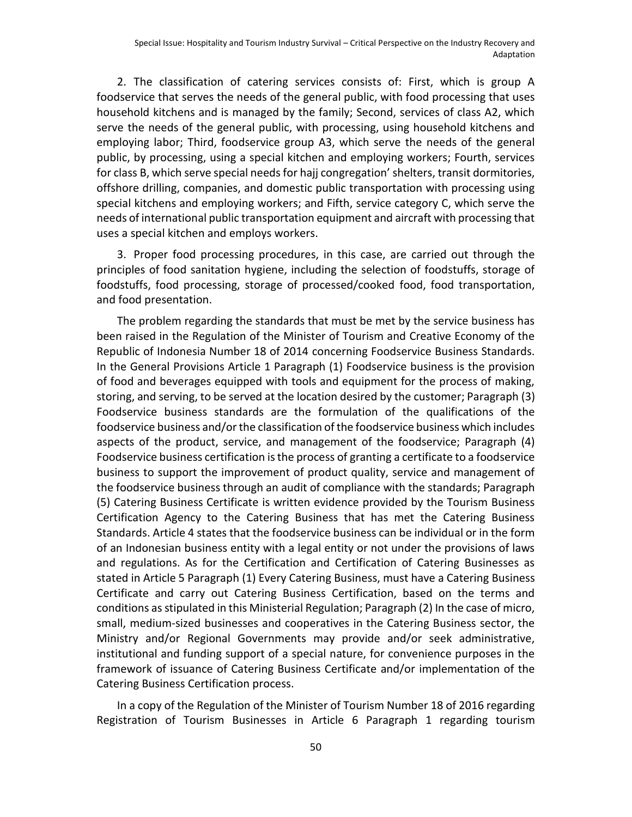2. The classification of catering services consists of: First, which is group A foodservice that serves the needs of the general public, with food processing that uses household kitchens and is managed by the family; Second, services of class A2, which serve the needs of the general public, with processing, using household kitchens and employing labor; Third, foodservice group A3, which serve the needs of the general public, by processing, using a special kitchen and employing workers; Fourth, services for class B, which serve special needs for hajj congregation' shelters, transit dormitories, offshore drilling, companies, and domestic public transportation with processing using special kitchens and employing workers; and Fifth, service category C, which serve the needs of international public transportation equipment and aircraft with processing that uses a special kitchen and employs workers.

3. Proper food processing procedures, in this case, are carried out through the principles of food sanitation hygiene, including the selection of foodstuffs, storage of foodstuffs, food processing, storage of processed/cooked food, food transportation, and food presentation.

The problem regarding the standards that must be met by the service business has been raised in the Regulation of the Minister of Tourism and Creative Economy of the Republic of Indonesia Number 18 of 2014 concerning Foodservice Business Standards. In the General Provisions Article 1 Paragraph (1) Foodservice business is the provision of food and beverages equipped with tools and equipment for the process of making, storing, and serving, to be served at the location desired by the customer; Paragraph (3) Foodservice business standards are the formulation of the qualifications of the foodservice business and/or the classification of the foodservice business which includes aspects of the product, service, and management of the foodservice; Paragraph (4) Foodservice business certification is the process of granting a certificate to a foodservice business to support the improvement of product quality, service and management of the foodservice business through an audit of compliance with the standards; Paragraph (5) Catering Business Certificate is written evidence provided by the Tourism Business Certification Agency to the Catering Business that has met the Catering Business Standards. Article 4 states that the foodservice business can be individual or in the form of an Indonesian business entity with a legal entity or not under the provisions of laws and regulations. As for the Certification and Certification of Catering Businesses as stated in Article 5 Paragraph (1) Every Catering Business, must have a Catering Business Certificate and carry out Catering Business Certification, based on the terms and conditions as stipulated in this Ministerial Regulation; Paragraph (2) In the case of micro, small, medium-sized businesses and cooperatives in the Catering Business sector, the Ministry and/or Regional Governments may provide and/or seek administrative, institutional and funding support of a special nature, for convenience purposes in the framework of issuance of Catering Business Certificate and/or implementation of the Catering Business Certification process.

In a copy of the Regulation of the Minister of Tourism Number 18 of 2016 regarding Registration of Tourism Businesses in Article 6 Paragraph 1 regarding tourism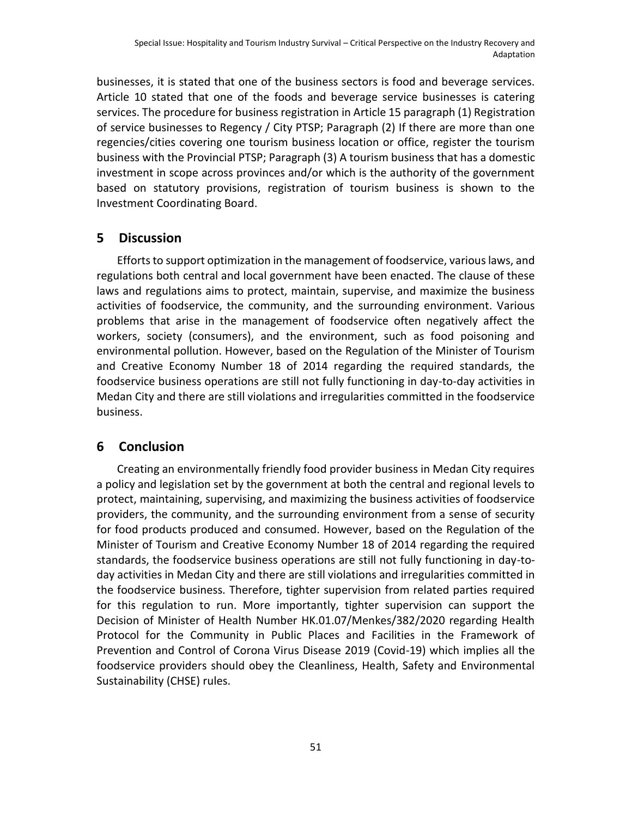businesses, it is stated that one of the business sectors is food and beverage services. Article 10 stated that one of the foods and beverage service businesses is catering services. The procedure for business registration in Article 15 paragraph (1) Registration of service businesses to Regency / City PTSP; Paragraph (2) If there are more than one regencies/cities covering one tourism business location or office, register the tourism business with the Provincial PTSP; Paragraph (3) A tourism business that has a domestic investment in scope across provinces and/or which is the authority of the government based on statutory provisions, registration of tourism business is shown to the Investment Coordinating Board.

# **5 Discussion**

Efforts to support optimization in the management of foodservice, various laws, and regulations both central and local government have been enacted. The clause of these laws and regulations aims to protect, maintain, supervise, and maximize the business activities of foodservice, the community, and the surrounding environment. Various problems that arise in the management of foodservice often negatively affect the workers, society (consumers), and the environment, such as food poisoning and environmental pollution. However, based on the Regulation of the Minister of Tourism and Creative Economy Number 18 of 2014 regarding the required standards, the foodservice business operations are still not fully functioning in day-to-day activities in Medan City and there are still violations and irregularities committed in the foodservice business.

# **6 Conclusion**

Creating an environmentally friendly food provider business in Medan City requires a policy and legislation set by the government at both the central and regional levels to protect, maintaining, supervising, and maximizing the business activities of foodservice providers, the community, and the surrounding environment from a sense of security for food products produced and consumed. However, based on the Regulation of the Minister of Tourism and Creative Economy Number 18 of 2014 regarding the required standards, the foodservice business operations are still not fully functioning in day-today activities in Medan City and there are still violations and irregularities committed in the foodservice business. Therefore, tighter supervision from related parties required for this regulation to run. More importantly, tighter supervision can support the Decision of Minister of Health Number HK.01.07/Menkes/382/2020 regarding Health Protocol for the Community in Public Places and Facilities in the Framework of Prevention and Control of Corona Virus Disease 2019 (Covid-19) which implies all the foodservice providers should obey the Cleanliness, Health, Safety and Environmental Sustainability (CHSE) rules.